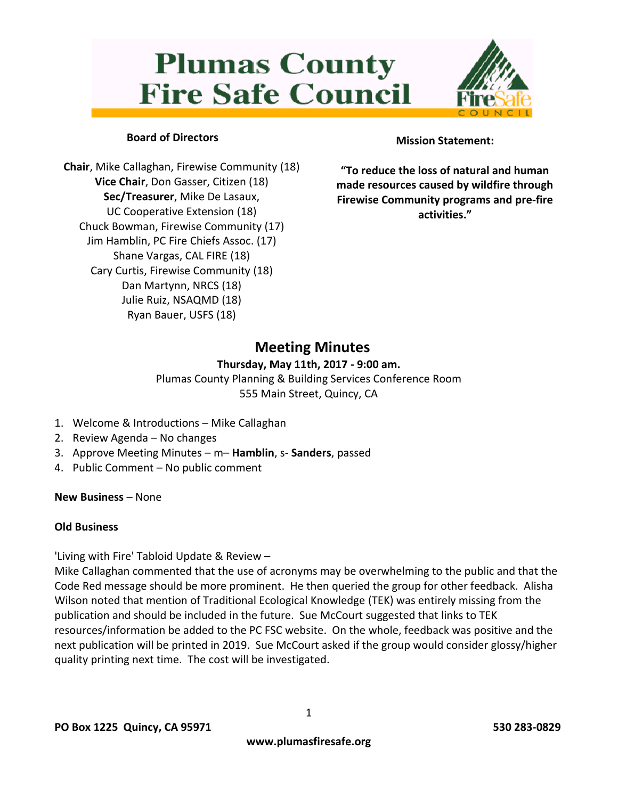# **Plumas County Fire Safe Council**



# **Board of Directors**

**Chair**, Mike Callaghan, Firewise Community (18) **Vice Chair**, Don Gasser, Citizen (18) **Sec/Treasurer**, Mike De Lasaux, UC Cooperative Extension (18) Chuck Bowman, Firewise Community (17) Jim Hamblin, PC Fire Chiefs Assoc. (17) Shane Vargas, CAL FIRE (18) Cary Curtis, Firewise Community (18) Dan Martynn, NRCS (18) Julie Ruiz, NSAQMD (18) Ryan Bauer, USFS (18)

## **Mission Statement:**

**"To reduce the loss of natural and human made resources caused by wildfire through Firewise Community programs and pre-fire activities."**

# **Meeting Minutes**

### **Thursday, May 11th, 2017 - 9:00 am.**

Plumas County Planning & Building Services Conference Room 555 Main Street, Quincy, CA

- 1. Welcome & Introductions Mike Callaghan
- 2. Review Agenda No changes
- 3. Approve Meeting Minutes m– **Hamblin**, s- **Sanders**, passed
- 4. Public Comment No public comment

**New Business** – None

### **Old Business**

'Living with Fire' Tabloid Update & Review –

Mike Callaghan commented that the use of acronyms may be overwhelming to the public and that the Code Red message should be more prominent. He then queried the group for other feedback. Alisha Wilson noted that mention of Traditional Ecological Knowledge (TEK) was entirely missing from the publication and should be included in the future. Sue McCourt suggested that links to TEK resources/information be added to the PC FSC website. On the whole, feedback was positive and the next publication will be printed in 2019. Sue McCourt asked if the group would consider glossy/higher quality printing next time. The cost will be investigated.

1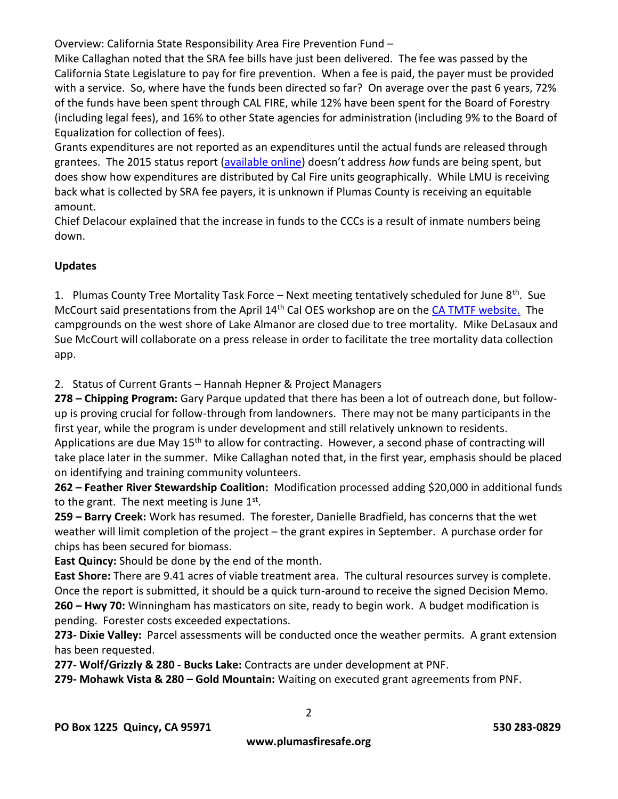Overview: California State Responsibility Area Fire Prevention Fund –

Mike Callaghan noted that the SRA fee bills have just been delivered. The fee was passed by the California State Legislature to pay for fire prevention. When a fee is paid, the payer must be provided with a service. So, where have the funds been directed so far? On average over the past 6 years, 72% of the funds have been spent through CAL FIRE, while 12% have been spent for the Board of Forestry (including legal fees), and 16% to other State agencies for administration (including 9% to the Board of Equalization for collection of fees).

Grants expenditures are not reported as an expenditures until the actual funds are released through grantees. The 2015 status report [\(available online](http://bofdata.fire.ca.gov/hot_topics_resources/2015_status_report_on_the_sra_board_of_forestry_and_fire_protection_09_28_16.pdf)) doesn't address *how* funds are being spent, but does show how expenditures are distributed by Cal Fire units geographically. While LMU is receiving back what is collected by SRA fee payers, it is unknown if Plumas County is receiving an equitable amount.

Chief Delacour explained that the increase in funds to the CCCs is a result of inmate numbers being down.

# **Updates**

1. Plumas County Tree Mortality Task Force – Next meeting tentatively scheduled for June  $8^{th}$ . Sue McCourt said presentations from the April 14<sup>th</sup> Cal OES workshop are on the [CA TMTF website.](http://www.fire.ca.gov/treetaskforce/reports#1) The campgrounds on the west shore of Lake Almanor are closed due to tree mortality. Mike DeLasaux and Sue McCourt will collaborate on a press release in order to facilitate the tree mortality data collection app.

2. Status of Current Grants – Hannah Hepner & Project Managers

**278 – Chipping Program:** Gary Parque updated that there has been a lot of outreach done, but followup is proving crucial for follow-through from landowners. There may not be many participants in the first year, while the program is under development and still relatively unknown to residents. Applications are due May 15<sup>th</sup> to allow for contracting. However, a second phase of contracting will take place later in the summer. Mike Callaghan noted that, in the first year, emphasis should be placed on identifying and training community volunteers.

**262 – Feather River Stewardship Coalition:** Modification processed adding \$20,000 in additional funds to the grant. The next meeting is June  $1<sup>st</sup>$ .

**259 – Barry Creek:** Work has resumed. The forester, Danielle Bradfield, has concerns that the wet weather will limit completion of the project – the grant expires in September. A purchase order for chips has been secured for biomass.

**East Quincy:** Should be done by the end of the month.

**East Shore:** There are 9.41 acres of viable treatment area. The cultural resources survey is complete. Once the report is submitted, it should be a quick turn-around to receive the signed Decision Memo. **260 – Hwy 70:** Winningham has masticators on site, ready to begin work. A budget modification is pending. Forester costs exceeded expectations.

**273- Dixie Valley:** Parcel assessments will be conducted once the weather permits. A grant extension has been requested.

**277- Wolf/Grizzly & 280 - Bucks Lake:** Contracts are under development at PNF.

**279- Mohawk Vista & 280 – Gold Mountain:** Waiting on executed grant agreements from PNF.